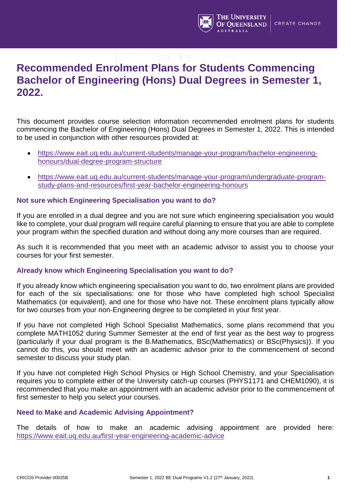

# **Recommended Enrolment Plans for Students Commencing Bachelor of Engineering (Hons) Dual Degrees in Semester 1, 2022.**

This document provides course selection information recommended enrolment plans for students commencing the Bachelor of Engineering (Hons) Dual Degrees in Semester 1, 2022. This is intended to be used in conjunction with other resources provided at:

- https://www.eait.uq.edu.au/current-students/manage-your-program/bachelor-engineeringhonours/dual-degree-program-structure
- https://www.eait.uq.edu.au/current-students/manage-your-program/undergraduate-programstudy-plans-and-resources/first-year-bachelor-engineering-honours

### **Not sure which Engineering Specialisation you want to do?**

If you are enrolled in a dual degree and you are not sure which engineering specialisation you would like to complete, your dual program will require careful planning to ensure that you are able to complete your program within the specified duration and without doing any more courses than are required.

As such it is recommended that you meet with an academic advisor to assist you to choose your courses for your first semester.

### **Already know which Engineering Specialisation you want to do?**

If you already know which engineering specialisation you want to do, two enrolment plans are provided for each of the six specialisations: one for those who have completed high school Specialist Mathematics (or equivalent), and one for those who have not. These enrolment plans typically allow for two courses from your non-Engineering degree to be completed in your first year.

If you have not completed High School Specialist Mathematics, some plans recommend that you complete MATH1052 during Summer Semester at the end of first year as the best way to progress (particularly if your dual program is the B.Mathematics, BSc(Mathematics) or BSc(Physics)). If you cannot do this, you should meet with an academic advisor prior to the commencement of second semester to discuss your study plan.

If you have not completed High School Physics or High School Chemistry, and your Specialisation requires you to complete either of the University catch-up courses (PHYS1171 and CHEM1090), it is recommended that you make an appointment with an academic advisor prior to the commencement of first semester to help you select your courses.

### **Need to Make and Academic Advising Appointment?**

The details of how to make an academic advising appointment are provided here: <https://www.eait.uq.edu.au/first-year-engineering-academic-advice>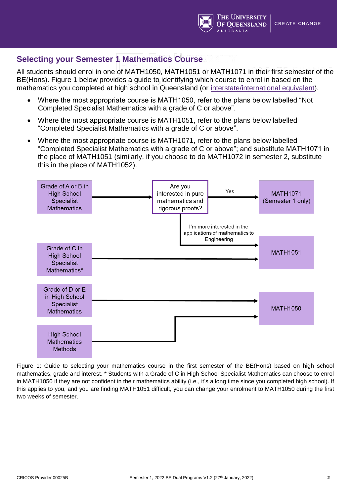

### **Selecting your Semester 1 Mathematics Course**

All students should enrol in one of MATH1050, MATH1051 or MATH1071 in their first semester of the BE(Hons). Figure 1 below provides a guide to identifying which course to enrol in based on the mathematics you completed at high school in Queensland (or [interstate/international equivalent\)](https://future-students.uq.edu.au/admissions/undergraduate/review-entry-requirements/subject-prerequisite-equivalents).

- Where the most appropriate course is MATH1050, refer to the plans below labelled "Not Completed Specialist Mathematics with a grade of C or above".
- Where the most appropriate course is MATH1051, refer to the plans below labelled "Completed Specialist Mathematics with a grade of C or above".
- Where the most appropriate course is MATH1071, refer to the plans below labelled "Completed Specialist Mathematics with a grade of C or above"; and substitute MATH1071 in the place of MATH1051 (similarly, if you choose to do MATH1072 in semester 2, substitute this in the place of MATH1052).



Figure 1: Guide to selecting your mathematics course in the first semester of the BE(Hons) based on high school mathematics, grade and interest. \* Students with a Grade of C in High School Specialist Mathematics can choose to enrol in MATH1050 if they are not confident in their mathematics ability (i.e., it's a long time since you completed high school). If this applies to you, and you are finding MATH1051 difficult, you can change your enrolment to MATH1050 during the first two weeks of semester.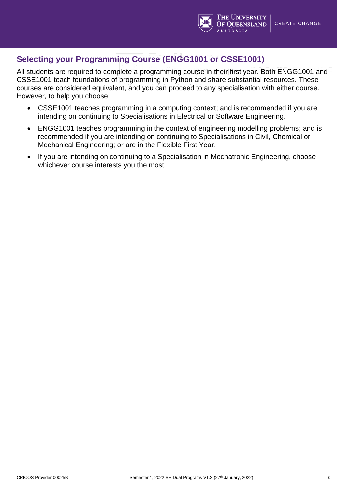

### **Selecting your Programming Course (ENGG1001 or CSSE1001)**

All students are required to complete a programming course in their first year. Both ENGG1001 and CSSE1001 teach foundations of programming in Python and share substantial resources. These courses are considered equivalent, and you can proceed to any specialisation with either course. However, to help you choose:

- CSSE1001 teaches programming in a computing context; and is recommended if you are intending on continuing to Specialisations in Electrical or Software Engineering.
- ENGG1001 teaches programming in the context of engineering modelling problems; and is recommended if you are intending on continuing to Specialisations in Civil, Chemical or Mechanical Engineering; or are in the Flexible First Year.
- If you are intending on continuing to a Specialisation in Mechatronic Engineering, choose whichever course interests you the most.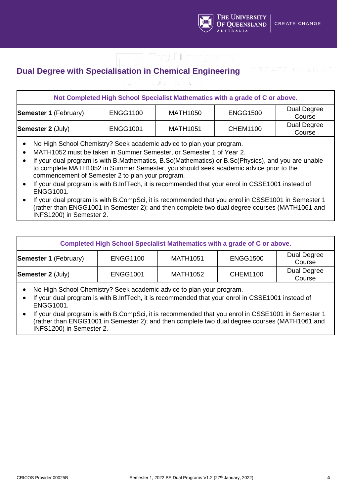

# **Dual Degree with Specialisation in Chemical Engineering**

|                                                                                                                                                                                                                                                                                                                                            |                 |                 | Not Completed High School Specialist Mathematics with a grade of C or above. |                       |  |
|--------------------------------------------------------------------------------------------------------------------------------------------------------------------------------------------------------------------------------------------------------------------------------------------------------------------------------------------|-----------------|-----------------|------------------------------------------------------------------------------|-----------------------|--|
| <b>Semester 1 (February)</b>                                                                                                                                                                                                                                                                                                               | <b>ENGG1100</b> | <b>MATH1050</b> | <b>ENGG1500</b>                                                              | Dual Degree<br>Course |  |
| <b>Semester 2 (July)</b>                                                                                                                                                                                                                                                                                                                   | <b>ENGG1001</b> | <b>MATH1051</b> | <b>CHEM1100</b>                                                              | Dual Degree<br>Course |  |
| No High School Chemistry? Seek academic advice to plan your program.<br>MATH1052 must be taken in Summer Semester, or Semester 1 of Year 2.<br>If your dual program is with B.Mathematics, B.Sc(Mathematics) or B.Sc(Physics), and you are unable<br>to complete MATH1052 in Summer Semester, you should seek academic advice prior to the |                 |                 |                                                                              |                       |  |

- commencement of Semester 2 to plan your program. • If your dual program is with B.InfTech, it is recommended that your enrol in CSSE1001 instead of
- ENGG1001. If your dual program is with B.CompSci, it is recommended that you enrol in CSSE1001 in Semester 1 (rather than ENGG1001 in Semester 2); and then complete two dual degree courses (MATH1061 and INFS1200) in Semester 2.

| Completed High School Specialist Mathematics with a grade of C or above. |                 |                 |                 |                       |
|--------------------------------------------------------------------------|-----------------|-----------------|-----------------|-----------------------|
| <b>Semester 1 (February)</b>                                             | <b>ENGG1100</b> | <b>MATH1051</b> | <b>ENGG1500</b> | Dual Degree<br>Course |
| <b>Semester 2 (July)</b>                                                 | <b>ENGG1001</b> | <b>MATH1052</b> | <b>CHEM1100</b> | Dual Degree<br>Course |

- No High School Chemistry? Seek academic advice to plan your program.
- If your dual program is with B.InfTech, it is recommended that your enrol in CSSE1001 instead of ENGG1001.
- If your dual program is with B.CompSci, it is recommended that you enrol in CSSE1001 in Semester 1 (rather than ENGG1001 in Semester 2); and then complete two dual degree courses (MATH1061 and INFS1200) in Semester 2.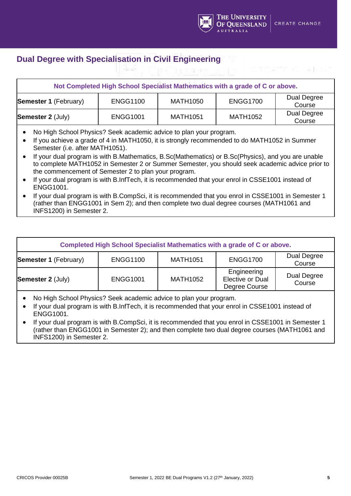

# **Dual Degree with Specialisation in Civil Engineering**

|                                                                                                                                                                                                                                                                                                                                                                                                                                                                                                                                                                                                                                                                                                                                                                                                  |                 |                 | Not Completed High School Specialist Mathematics with a grade of C or above. |                       |
|--------------------------------------------------------------------------------------------------------------------------------------------------------------------------------------------------------------------------------------------------------------------------------------------------------------------------------------------------------------------------------------------------------------------------------------------------------------------------------------------------------------------------------------------------------------------------------------------------------------------------------------------------------------------------------------------------------------------------------------------------------------------------------------------------|-----------------|-----------------|------------------------------------------------------------------------------|-----------------------|
| <b>Semester 1 (February)</b>                                                                                                                                                                                                                                                                                                                                                                                                                                                                                                                                                                                                                                                                                                                                                                     | <b>ENGG1100</b> | <b>MATH1050</b> | <b>ENGG1700</b>                                                              | Dual Degree<br>Course |
| <b>Semester 2 (July)</b>                                                                                                                                                                                                                                                                                                                                                                                                                                                                                                                                                                                                                                                                                                                                                                         | <b>ENGG1001</b> | <b>MATH1051</b> | <b>MATH1052</b>                                                              | Dual Degree<br>Course |
| No High School Physics? Seek academic advice to plan your program.<br>If you achieve a grade of 4 in MATH1050, it is strongly recommended to do MATH1052 in Summer<br>Semester (i.e. after MATH1051).<br>If your dual program is with B.Mathematics, B.Sc(Mathematics) or B.Sc(Physics), and you are unable<br>to complete MATH1052 in Semester 2 or Summer Semester, you should seek academic advice prior to<br>the commencement of Semester 2 to plan your program.<br>If your dual program is with B.InfTech, it is recommended that your enrol in CSSE1001 instead of<br><b>ENGG1001.</b><br>If your dual program is with B.CompSci, it is recommended that you enrol in CSSE1001 in Semester 1<br>(rather than ENGG1001 in Sem 2); and then complete two dual degree courses (MATH1061 and |                 |                 |                                                                              |                       |

INFS1200) in Semester 2.

| Completed High School Specialist Mathematics with a grade of C or above. |                 |                 |                                                  |                       |  |
|--------------------------------------------------------------------------|-----------------|-----------------|--------------------------------------------------|-----------------------|--|
| <b>Semester 1 (February)</b>                                             | <b>ENGG1100</b> | <b>MATH1051</b> | <b>ENGG1700</b>                                  | Dual Degree<br>Course |  |
| <b>Semester 2 (July)</b>                                                 | <b>ENGG1001</b> | <b>MATH1052</b> | Engineering<br>Elective or Dual<br>Degree Course | Dual Degree<br>Course |  |

• No High School Physics? Seek academic advice to plan your program.

- If your dual program is with B.InfTech, it is recommended that your enrol in CSSE1001 instead of ENGG1001.
- If your dual program is with B.CompSci, it is recommended that you enrol in CSSE1001 in Semester 1 (rather than ENGG1001 in Semester 2); and then complete two dual degree courses (MATH1061 and INFS1200) in Semester 2.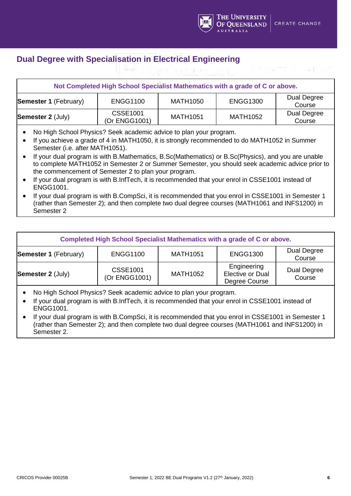

# **Dual Degree with Specialisation in Electrical Engineering**

|                                                                                                                                                                                                                                                                                                                                                                                                                                                                                                                                                                                                                                                                                                                                                                                                                      | Not Completed High School Specialist Mathematics with a grade of C or above. |                 |                 |                       |
|----------------------------------------------------------------------------------------------------------------------------------------------------------------------------------------------------------------------------------------------------------------------------------------------------------------------------------------------------------------------------------------------------------------------------------------------------------------------------------------------------------------------------------------------------------------------------------------------------------------------------------------------------------------------------------------------------------------------------------------------------------------------------------------------------------------------|------------------------------------------------------------------------------|-----------------|-----------------|-----------------------|
| <b>Semester 1 (February)</b>                                                                                                                                                                                                                                                                                                                                                                                                                                                                                                                                                                                                                                                                                                                                                                                         | <b>ENGG1100</b>                                                              | <b>MATH1050</b> | <b>ENGG1300</b> | Dual Degree<br>Course |
| <b>Semester 2 (July)</b>                                                                                                                                                                                                                                                                                                                                                                                                                                                                                                                                                                                                                                                                                                                                                                                             | <b>CSSE1001</b><br>(Or ENGG1001)                                             | <b>MATH1051</b> | <b>MATH1052</b> | Dual Degree<br>Course |
| No High School Physics? Seek academic advice to plan your program.<br>If you achieve a grade of 4 in MATH1050, it is strongly recommended to do MATH1052 in Summer<br>Semester (i.e. after MATH1051).<br>If your dual program is with B.Mathematics, B.Sc(Mathematics) or B.Sc(Physics), and you are unable<br>to complete MATH1052 in Semester 2 or Summer Semester, you should seek academic advice prior to<br>the commencement of Semester 2 to plan your program.<br>If your dual program is with B.InfTech, it is recommended that your enrol in CSSE1001 instead of<br><b>ENGG1001.</b><br>If your dual program is with B.CompSci, it is recommended that you enrol in CSSE1001 in Semester 1<br>(rather than Semester 2); and then complete two dual degree courses (MATH1061 and INFS1200) in<br>Semester 2 |                                                                              |                 |                 |                       |

| Completed High School Specialist Mathematics with a grade of C or above. |                                  |                 |                                                  |                       |  |
|--------------------------------------------------------------------------|----------------------------------|-----------------|--------------------------------------------------|-----------------------|--|
| <b>Semester 1 (February)</b>                                             | <b>ENGG1100</b>                  | <b>MATH1051</b> | <b>ENGG1300</b>                                  | Dual Degree<br>Course |  |
| <b>Semester 2 (July)</b>                                                 | <b>CSSE1001</b><br>(Or ENGG1001) | <b>MATH1052</b> | Engineering<br>Elective or Dual<br>Degree Course | Dual Degree<br>Course |  |

- No High School Physics? Seek academic advice to plan your program.
- If your dual program is with B.InfTech, it is recommended that your enrol in CSSE1001 instead of ENGG1001.
- If your dual program is with B.CompSci, it is recommended that you enrol in CSSE1001 in Semester 1 (rather than Semester 2); and then complete two dual degree courses (MATH1061 and INFS1200) in Semester 2.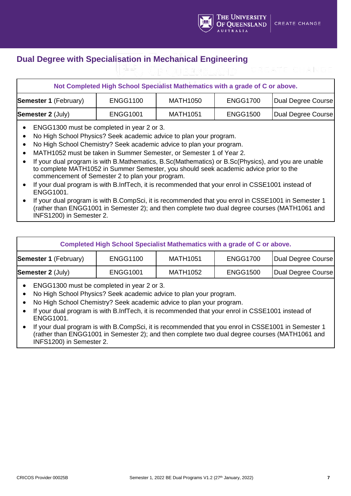

## **Dual Degree with Specialisation in Mechanical Engineering**

|                                                                                                                  | Not Completed High School Specialist Mathematics with a grade of C or above. |                 |                 |                    |
|------------------------------------------------------------------------------------------------------------------|------------------------------------------------------------------------------|-----------------|-----------------|--------------------|
| <b>Semester 1 (February)</b>                                                                                     | <b>ENGG1100</b>                                                              | <b>MATH1050</b> | <b>ENGG1700</b> | Dual Degree Course |
| <b>Semester 2 (July)</b>                                                                                         | <b>ENGG1001</b>                                                              | <b>MATH1051</b> | <b>ENGG1500</b> | Dual Degree Course |
| ENGG1300 must be completed in year 2 or 3.<br>No High School Physics? Seek academic advice to plan your program. |                                                                              |                 |                 |                    |

- No High School Chemistry? Seek academic advice to plan your program.
- MATH1052 must be taken in Summer Semester, or Semester 1 of Year 2.
- If your dual program is with B.Mathematics, B.Sc(Mathematics) or B.Sc(Physics), and you are unable to complete MATH1052 in Summer Semester, you should seek academic advice prior to the commencement of Semester 2 to plan your program.
- If your dual program is with B.InfTech, it is recommended that your enrol in CSSE1001 instead of ENGG1001.
- If your dual program is with B.CompSci, it is recommended that you enrol in CSSE1001 in Semester 1 (rather than ENGG1001 in Semester 2); and then complete two dual degree courses (MATH1061 and INFS1200) in Semester 2.

| Completed High School Specialist Mathematics with a grade of C or above.                                    |                 |                 |                 |                    |
|-------------------------------------------------------------------------------------------------------------|-----------------|-----------------|-----------------|--------------------|
| <b>ENGG1100</b><br><b>ENGG1700</b><br>Dual Degree Course<br><b>MATH1051</b><br><b>Semester 1 (February)</b> |                 |                 |                 |                    |
| <b>Semester 2 (July)</b>                                                                                    | <b>ENGG1001</b> | <b>MATH1052</b> | <b>ENGG1500</b> | Dual Degree Course |

- ENGG1300 must be completed in year 2 or 3.
- No High School Physics? Seek academic advice to plan your program.
- No High School Chemistry? Seek academic advice to plan your program.
- If your dual program is with B.InfTech, it is recommended that your enrol in CSSE1001 instead of ENGG1001.
- If your dual program is with B.CompSci, it is recommended that you enrol in CSSE1001 in Semester 1 (rather than ENGG1001 in Semester 2); and then complete two dual degree courses (MATH1061 and INFS1200) in Semester 2.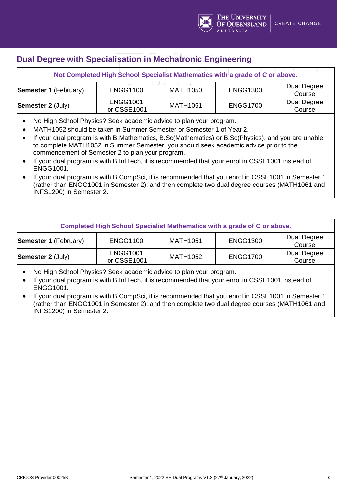## **Dual Degree with Specialisation in Mechatronic Engineering**

| Not Completed High School Specialist Mathematics with a grade of C or above. |                                |                 |                 |                       |  |
|------------------------------------------------------------------------------|--------------------------------|-----------------|-----------------|-----------------------|--|
| <b>Semester 1 (February)</b>                                                 | <b>ENGG1100</b>                | <b>MATH1050</b> | <b>ENGG1300</b> | Dual Degree<br>Course |  |
| <b>Semester 2 (July)</b>                                                     | <b>ENGG1001</b><br>or CSSE1001 | <b>MATH1051</b> | <b>ENGG1700</b> | Dual Degree<br>Course |  |

- No High School Physics? Seek academic advice to plan your program.
- MATH1052 should be taken in Summer Semester or Semester 1 of Year 2.
- If your dual program is with B.Mathematics, B.Sc(Mathematics) or B.Sc(Physics), and you are unable to complete MATH1052 in Summer Semester, you should seek academic advice prior to the commencement of Semester 2 to plan your program.
- If your dual program is with B.InfTech, it is recommended that your enrol in CSSE1001 instead of ENGG1001.
- If your dual program is with B.CompSci, it is recommended that you enrol in CSSE1001 in Semester 1 (rather than ENGG1001 in Semester 2); and then complete two dual degree courses (MATH1061 and INFS1200) in Semester 2.

| Completed High School Specialist Mathematics with a grade of C or above. |                                |                 |                 |                       |  |
|--------------------------------------------------------------------------|--------------------------------|-----------------|-----------------|-----------------------|--|
| <b>Semester 1 (February)</b>                                             | <b>ENGG1100</b>                | <b>MATH1051</b> | <b>ENGG1300</b> | Dual Degree<br>Course |  |
| <b>Semester 2 (July)</b>                                                 | <b>ENGG1001</b><br>or CSSE1001 | <b>MATH1052</b> | <b>ENGG1700</b> | Dual Degree<br>Course |  |

• No High School Physics? Seek academic advice to plan your program.

- If your dual program is with B.InfTech, it is recommended that your enrol in CSSE1001 instead of ENGG1001.
- If your dual program is with B.CompSci, it is recommended that you enrol in CSSE1001 in Semester 1 (rather than ENGG1001 in Semester 2); and then complete two dual degree courses (MATH1061 and INFS1200) in Semester 2.